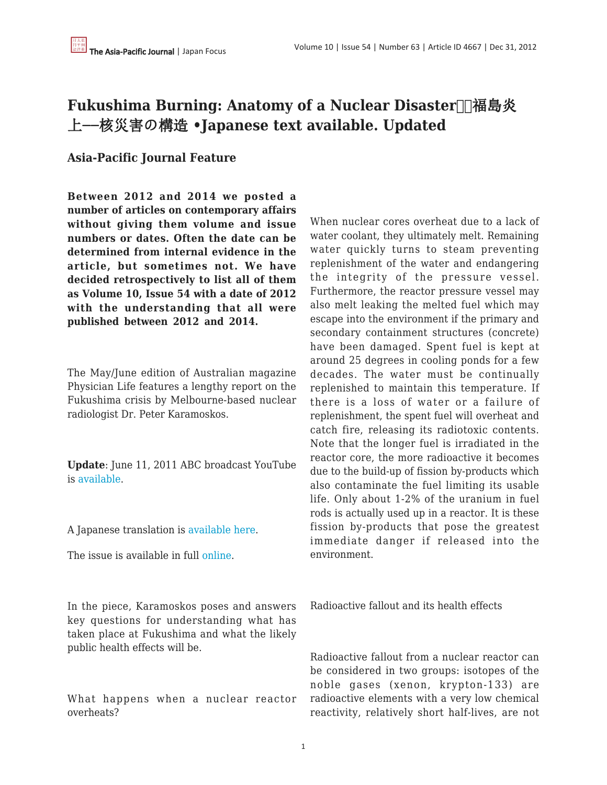## **Fukushima Burning: Anatomy of a Nuclear Disaster** Ⅱ 福島炎 上−−核災害の構造 **•Japanese text available. Updated**

## **Asia-Pacific Journal Feature**

**Between 2012 and 2014 we posted a number of articles on contemporary affairs without giving them volume and issue numbers or dates. Often the date can be determined from internal evidence in the article, but sometimes not. We have decided retrospectively to list all of them as Volume 10, Issue 54 with a date of 2012 with the understanding that all were published between 2012 and 2014.**

The May/June edition of Australian magazine Physician Life features a lengthy report on the Fukushima crisis by Melbourne-based nuclear radiologist Dr. Peter Karamoskos.

**Update**: June 11, 2011 ABC broadcast YouTube is [available.](http://www.youtube.com/watch?v=yEIS1-56Lgs&sns=fb)

A Japanese translation is [available here.](https://apjjf.org/data/FukushimaBurning炎上するフクシマ酒井さん訳反映版.pdf)

The issue is available in full [online](http://issuu.com/medicallife/docs/physicianlife_final_v1).

In the piece, Karamoskos poses and answers key questions for understanding what has taken place at Fukushima and what the likely public health effects will be.

What happens when a nuclear reactor overheats?

When nuclear cores overheat due to a lack of water coolant, they ultimately melt. Remaining water quickly turns to steam preventing replenishment of the water and endangering the integrity of the pressure vessel. Furthermore, the reactor pressure vessel may also melt leaking the melted fuel which may escape into the environment if the primary and secondary containment structures (concrete) have been damaged. Spent fuel is kept at around 25 degrees in cooling ponds for a few decades. The water must be continually replenished to maintain this temperature. If there is a loss of water or a failure of replenishment, the spent fuel will overheat and catch fire, releasing its radiotoxic contents. Note that the longer fuel is irradiated in the reactor core, the more radioactive it becomes due to the build-up of fission by-products which also contaminate the fuel limiting its usable life. Only about 1-2% of the uranium in fuel rods is actually used up in a reactor. It is these fission by-products that pose the greatest immediate danger if released into the environment.

Radioactive fallout and its health effects

Radioactive fallout from a nuclear reactor can be considered in two groups: isotopes of the noble gases (xenon, krypton-133) are radioactive elements with a very low chemical reactivity, relatively short half-lives, are not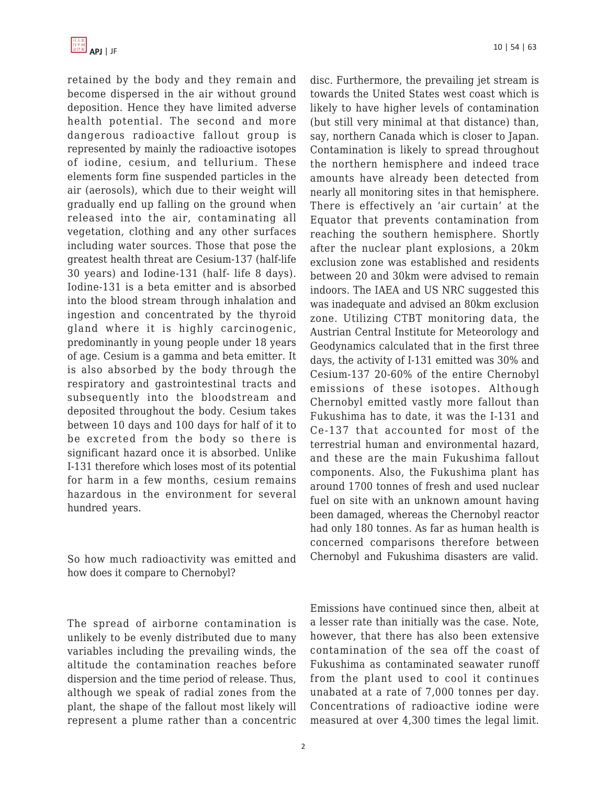

retained by the body and they remain and become dispersed in the air without ground deposition. Hence they have limited adverse health potential. The second and more dangerous radioactive fallout group is represented by mainly the radioactive isotopes of iodine, cesium, and tellurium. These elements form fine suspended particles in the air (aerosols), which due to their weight will gradually end up falling on the ground when released into the air, contaminating all vegetation, clothing and any other surfaces including water sources. Those that pose the greatest health threat are Cesium-137 (half-life 30 years) and Iodine-131 (half- life 8 days). Iodine-131 is a beta emitter and is absorbed into the blood stream through inhalation and ingestion and concentrated by the thyroid gland where it is highly carcinogenic, predominantly in young people under 18 years of age. Cesium is a gamma and beta emitter. It is also absorbed by the body through the respiratory and gastrointestinal tracts and subsequently into the bloodstream and deposited throughout the body. Cesium takes between 10 days and 100 days for half of it to be excreted from the body so there is significant hazard once it is absorbed. Unlike I-131 therefore which loses most of its potential for harm in a few months, cesium remains hazardous in the environment for several hundred years.

So how much radioactivity was emitted and how does it compare to Chernobyl?

The spread of airborne contamination is unlikely to be evenly distributed due to many variables including the prevailing winds, the altitude the contamination reaches before dispersion and the time period of release. Thus, although we speak of radial zones from the plant, the shape of the fallout most likely will represent a plume rather than a concentric disc. Furthermore, the prevailing jet stream is towards the United States west coast which is likely to have higher levels of contamination (but still very minimal at that distance) than, say, northern Canada which is closer to Japan. Contamination is likely to spread throughout the northern hemisphere and indeed trace amounts have already been detected from nearly all monitoring sites in that hemisphere. There is effectively an 'air curtain' at the Equator that prevents contamination from reaching the southern hemisphere. Shortly after the nuclear plant explosions, a 20km exclusion zone was established and residents between 20 and 30km were advised to remain indoors. The IAEA and US NRC suggested this was inadequate and advised an 80km exclusion zone. Utilizing CTBT monitoring data, the Austrian Central Institute for Meteorology and Geodynamics calculated that in the first three days, the activity of I-131 emitted was 30% and Cesium-137 20-60% of the entire Chernobyl emissions of these isotopes. Although Chernobyl emitted vastly more fallout than Fukushima has to date, it was the I-131 and Ce-137 that accounted for most of the terrestrial human and environmental hazard, and these are the main Fukushima fallout components. Also, the Fukushima plant has around 1700 tonnes of fresh and used nuclear fuel on site with an unknown amount having been damaged, whereas the Chernobyl reactor had only 180 tonnes. As far as human health is concerned comparisons therefore between Chernobyl and Fukushima disasters are valid.

Emissions have continued since then, albeit at a lesser rate than initially was the case. Note, however, that there has also been extensive contamination of the sea off the coast of Fukushima as contaminated seawater runoff from the plant used to cool it continues unabated at a rate of 7,000 tonnes per day. Concentrations of radioactive iodine were measured at over 4,300 times the legal limit.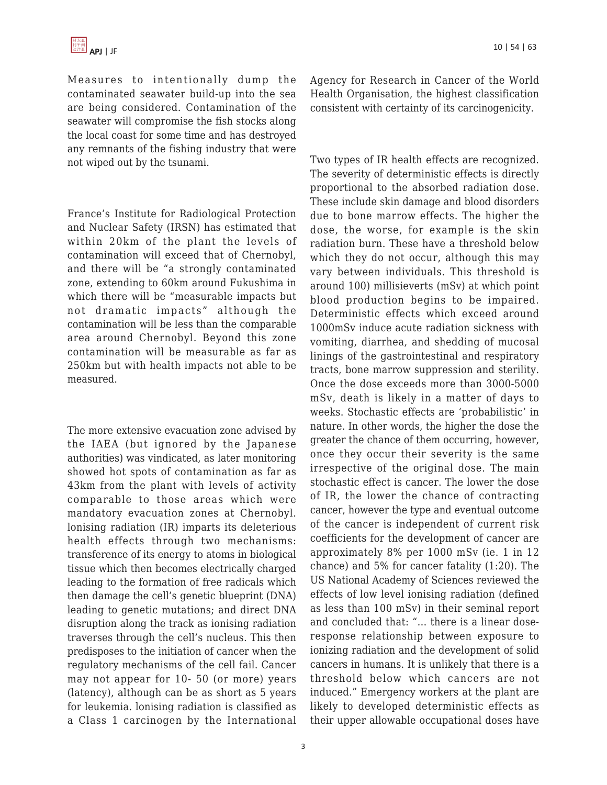Measures to intentionally dump the contaminated seawater build-up into the sea are being considered. Contamination of the seawater will compromise the fish stocks along the local coast for some time and has destroyed any remnants of the fishing industry that were not wiped out by the tsunami.

France's Institute for Radiological Protection and Nuclear Safety (IRSN) has estimated that within 20km of the plant the levels of contamination will exceed that of Chernobyl, and there will be "a strongly contaminated zone, extending to 60km around Fukushima in which there will be "measurable impacts but not dramatic impacts" although the contamination will be less than the comparable area around Chernobyl. Beyond this zone contamination will be measurable as far as 250km but with health impacts not able to be measured.

The more extensive evacuation zone advised by the IAEA (but ignored by the Japanese authorities) was vindicated, as later monitoring showed hot spots of contamination as far as 43km from the plant with levels of activity comparable to those areas which were mandatory evacuation zones at Chernobyl. lonising radiation (IR) imparts its deleterious health effects through two mechanisms: transference of its energy to atoms in biological tissue which then becomes electrically charged leading to the formation of free radicals which then damage the cell's genetic blueprint (DNA) leading to genetic mutations; and direct DNA disruption along the track as ionising radiation traverses through the cell's nucleus. This then predisposes to the initiation of cancer when the regulatory mechanisms of the cell fail. Cancer may not appear for 10- 50 (or more) years (latency), although can be as short as 5 years for leukemia. lonising radiation is classified as a Class 1 carcinogen by the International

Agency for Research in Cancer of the World Health Organisation, the highest classification consistent with certainty of its carcinogenicity.

Two types of IR health effects are recognized. The severity of deterministic effects is directly proportional to the absorbed radiation dose. These include skin damage and blood disorders due to bone marrow effects. The higher the dose, the worse, for example is the skin radiation burn. These have a threshold below which they do not occur, although this may vary between individuals. This threshold is around 100) millisieverts (mSv) at which point blood production begins to be impaired. Deterministic effects which exceed around 1000mSv induce acute radiation sickness with vomiting, diarrhea, and shedding of mucosal linings of the gastrointestinal and respiratory tracts, bone marrow suppression and sterility. Once the dose exceeds more than 3000-5000 mSv, death is likely in a matter of days to weeks. Stochastic effects are 'probabilistic' in nature. In other words, the higher the dose the greater the chance of them occurring, however, once they occur their severity is the same irrespective of the original dose. The main stochastic effect is cancer. The lower the dose of IR, the lower the chance of contracting cancer, however the type and eventual outcome of the cancer is independent of current risk coefficients for the development of cancer are approximately 8% per 1000 mSv (ie. 1 in 12 chance) and 5% for cancer fatality (1:20). The US National Academy of Sciences reviewed the effects of low level ionising radiation (defined as less than 100 mSv) in their seminal report and concluded that: "… there is a linear doseresponse relationship between exposure to ionizing radiation and the development of solid cancers in humans. It is unlikely that there is a threshold below which cancers are not induced." Emergency workers at the plant are likely to developed deterministic effects as their upper allowable occupational doses have